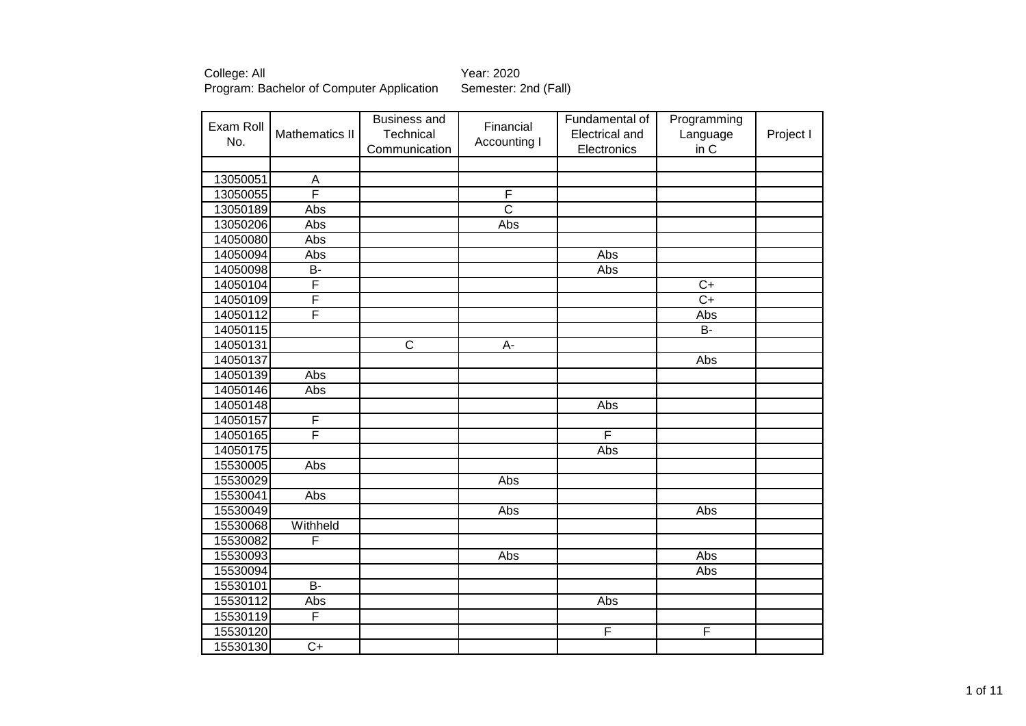| Exam Roll |                 | <b>Business and</b>   | Financial             | Fundamental of | Programming     |           |
|-----------|-----------------|-----------------------|-----------------------|----------------|-----------------|-----------|
| No.       | Mathematics II  | Technical             | Accounting I          | Electrical and | Language        | Project I |
|           |                 | Communication         |                       | Electronics    | in C            |           |
|           |                 |                       |                       |                |                 |           |
| 13050051  | A               |                       |                       |                |                 |           |
| 13050055  | F               |                       | $\overline{F}$        |                |                 |           |
| 13050189  | Abs             |                       | $\overline{\text{c}}$ |                |                 |           |
| 13050206  | Abs             |                       | Abs                   |                |                 |           |
| 14050080  | Abs             |                       |                       |                |                 |           |
| 14050094  | Abs             |                       |                       | Abs            |                 |           |
| 14050098  | B-              |                       |                       | Abs            |                 |           |
| 14050104  | F               |                       |                       |                | $\overline{C+}$ |           |
| 14050109  | F               |                       |                       |                | $\overline{C+}$ |           |
| 14050112  | F               |                       |                       |                | Abs             |           |
| 14050115  |                 |                       |                       |                | $\overline{B}$  |           |
| 14050131  |                 | $\overline{\text{c}}$ | $A -$                 |                |                 |           |
| 14050137  |                 |                       |                       |                | Abs             |           |
| 14050139  | Abs             |                       |                       |                |                 |           |
| 14050146  | Abs             |                       |                       |                |                 |           |
| 14050148  |                 |                       |                       | Abs            |                 |           |
| 14050157  | F               |                       |                       |                |                 |           |
| 14050165  | F               |                       |                       | F              |                 |           |
| 14050175  |                 |                       |                       | Abs            |                 |           |
| 15530005  | Abs             |                       |                       |                |                 |           |
| 15530029  |                 |                       | Abs                   |                |                 |           |
| 15530041  | Abs             |                       |                       |                |                 |           |
| 15530049  |                 |                       | Abs                   |                | Abs             |           |
| 15530068  | Withheld        |                       |                       |                |                 |           |
| 15530082  | F               |                       |                       |                |                 |           |
| 15530093  |                 |                       | Abs                   |                | Abs             |           |
| 15530094  |                 |                       |                       |                | Abs             |           |
| 15530101  | B-              |                       |                       |                |                 |           |
| 15530112  | Abs             |                       |                       | Abs            |                 |           |
| 15530119  | F               |                       |                       |                |                 |           |
| 15530120  |                 |                       |                       | F              | F               |           |
| 15530130  | $\overline{C+}$ |                       |                       |                |                 |           |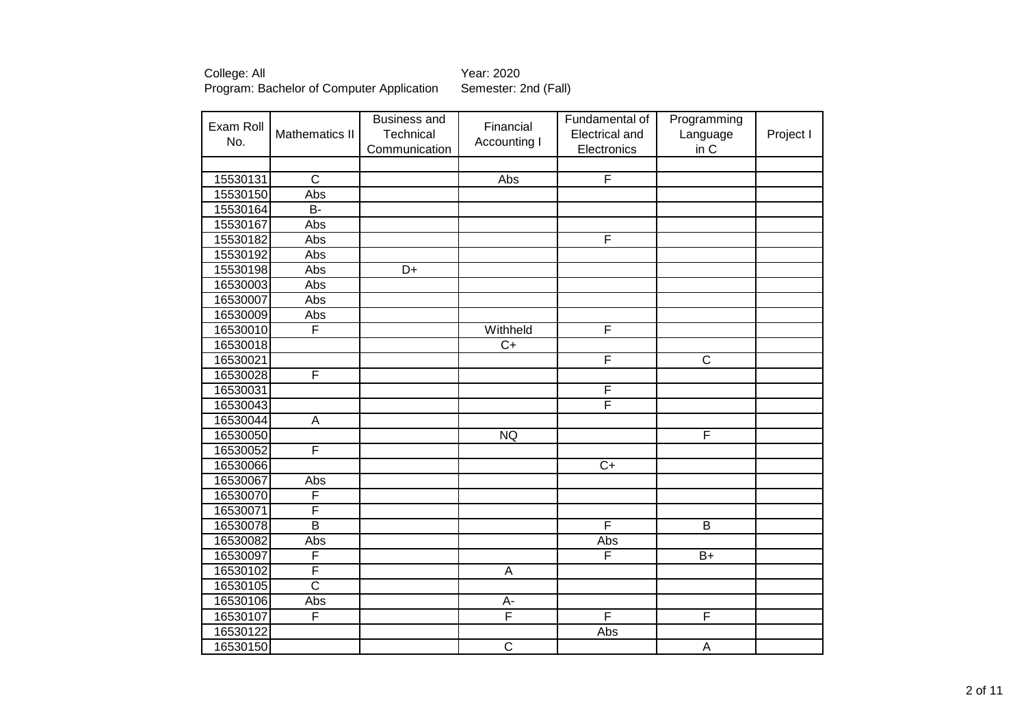| Exam Roll |                         | <b>Business and</b> | Financial               | Fundamental of          | Programming             |           |
|-----------|-------------------------|---------------------|-------------------------|-------------------------|-------------------------|-----------|
| No.       | <b>Mathematics II</b>   | Technical           | Accounting I            | <b>Electrical and</b>   | Language                | Project I |
|           |                         | Communication       |                         | Electronics             | in C                    |           |
|           |                         |                     |                         |                         |                         |           |
| 15530131  | $\overline{C}$          |                     | Abs                     | $\overline{\mathsf{F}}$ |                         |           |
| 15530150  | Abs                     |                     |                         |                         |                         |           |
| 15530164  | B-                      |                     |                         |                         |                         |           |
| 15530167  | Abs                     |                     |                         |                         |                         |           |
| 15530182  | Abs                     |                     |                         | F                       |                         |           |
| 15530192  | Abs                     |                     |                         |                         |                         |           |
| 15530198  | Abs                     | $\overline{D+}$     |                         |                         |                         |           |
| 16530003  | Abs                     |                     |                         |                         |                         |           |
| 16530007  | Abs                     |                     |                         |                         |                         |           |
| 16530009  | Abs                     |                     |                         |                         |                         |           |
| 16530010  | F                       |                     | Withheld                | F                       |                         |           |
| 16530018  |                         |                     | $\overline{C}$          |                         |                         |           |
| 16530021  |                         |                     |                         | F                       | $\overline{\text{C}}$   |           |
| 16530028  | F                       |                     |                         |                         |                         |           |
| 16530031  |                         |                     |                         | F                       |                         |           |
| 16530043  |                         |                     |                         | F                       |                         |           |
| 16530044  | $\overline{A}$          |                     |                         |                         |                         |           |
| 16530050  |                         |                     | <b>NQ</b>               |                         | $\overline{\mathsf{F}}$ |           |
| 16530052  | F                       |                     |                         |                         |                         |           |
| 16530066  |                         |                     |                         | $\overline{C}$          |                         |           |
| 16530067  | Abs                     |                     |                         |                         |                         |           |
| 16530070  | F                       |                     |                         |                         |                         |           |
| 16530071  | F                       |                     |                         |                         |                         |           |
| 16530078  | $\overline{B}$          |                     |                         | F                       | B                       |           |
| 16530082  | Abs                     |                     |                         | Abs                     |                         |           |
| 16530097  | F                       |                     |                         | F                       | $B+$                    |           |
| 16530102  | $\overline{\mathsf{F}}$ |                     | $\mathsf A$             |                         |                         |           |
| 16530105  | $\overline{\text{c}}$   |                     |                         |                         |                         |           |
| 16530106  | Abs                     |                     | A-                      |                         |                         |           |
| 16530107  | $\overline{\mathsf{F}}$ |                     | $\overline{\mathsf{F}}$ | F                       | $\overline{F}$          |           |
| 16530122  |                         |                     |                         | Abs                     |                         |           |
| 16530150  |                         |                     | $\overline{\mathsf{C}}$ |                         | A                       |           |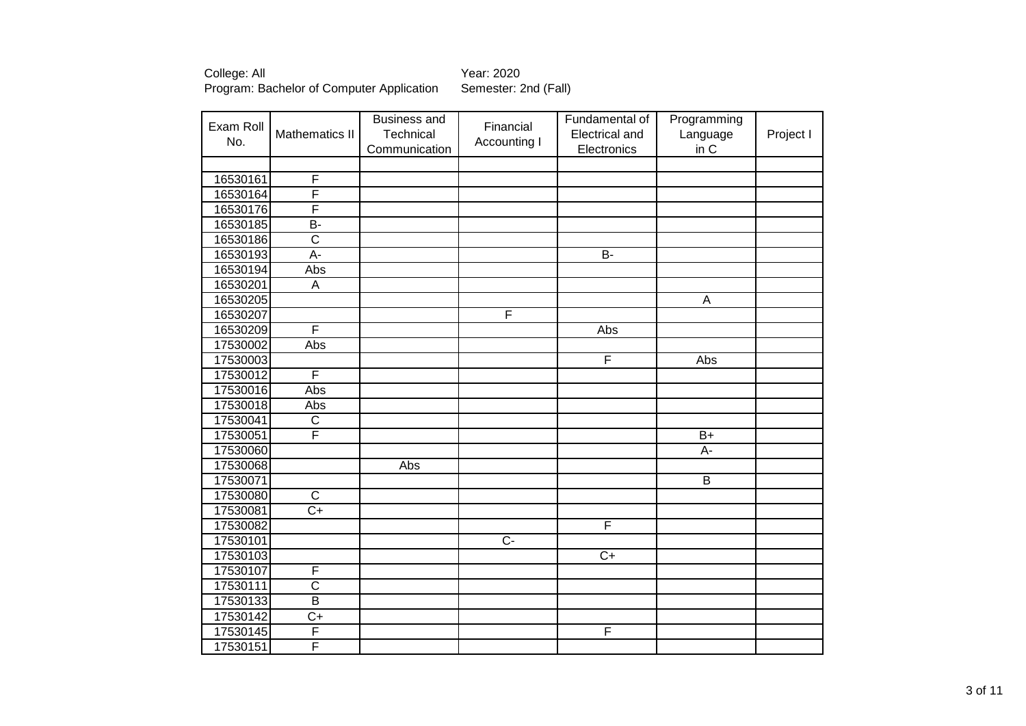| Exam Roll |                         | <b>Business and</b> | Financial      | Fundamental of          | Programming    |           |
|-----------|-------------------------|---------------------|----------------|-------------------------|----------------|-----------|
| No.       | Mathematics II          | Technical           | Accounting I   | Electrical and          | Language       | Project I |
|           |                         | Communication       |                | Electronics             | in C           |           |
|           |                         |                     |                |                         |                |           |
| 16530161  | $\overline{F}$          |                     |                |                         |                |           |
| 16530164  | F                       |                     |                |                         |                |           |
| 16530176  | F                       |                     |                |                         |                |           |
| 16530185  | B-                      |                     |                |                         |                |           |
| 16530186  | $\overline{\mathsf{C}}$ |                     |                |                         |                |           |
| 16530193  | $A -$                   |                     |                | $\overline{B}$          |                |           |
| 16530194  | Abs                     |                     |                |                         |                |           |
| 16530201  | $\overline{A}$          |                     |                |                         |                |           |
| 16530205  |                         |                     |                |                         | A              |           |
| 16530207  |                         |                     | F              |                         |                |           |
| 16530209  | F                       |                     |                | Abs                     |                |           |
| 17530002  | Abs                     |                     |                |                         |                |           |
| 17530003  |                         |                     |                | $\overline{F}$          | <b>Abs</b>     |           |
| 17530012  | F                       |                     |                |                         |                |           |
| 17530016  | Abs                     |                     |                |                         |                |           |
| 17530018  | Abs                     |                     |                |                         |                |           |
| 17530041  | $\overline{\mathsf{C}}$ |                     |                |                         |                |           |
| 17530051  | F                       |                     |                |                         | $B+$           |           |
| 17530060  |                         |                     |                |                         | A-             |           |
| 17530068  |                         | Abs                 |                |                         |                |           |
| 17530071  |                         |                     |                |                         | $\overline{B}$ |           |
| 17530080  | $\overline{C}$          |                     |                |                         |                |           |
| 17530081  | $\overline{C+}$         |                     |                |                         |                |           |
| 17530082  |                         |                     |                | $\overline{\mathsf{F}}$ |                |           |
| 17530101  |                         |                     | $\overline{C}$ |                         |                |           |
| 17530103  |                         |                     |                | $\overline{C+}$         |                |           |
| 17530107  | F                       |                     |                |                         |                |           |
| 17530111  | $\overline{\text{c}}$   |                     |                |                         |                |           |
| 17530133  | $\overline{B}$          |                     |                |                         |                |           |
| 17530142  | $C+$                    |                     |                |                         |                |           |
| 17530145  | F                       |                     |                | F                       |                |           |
| 17530151  | $\overline{\mathsf{F}}$ |                     |                |                         |                |           |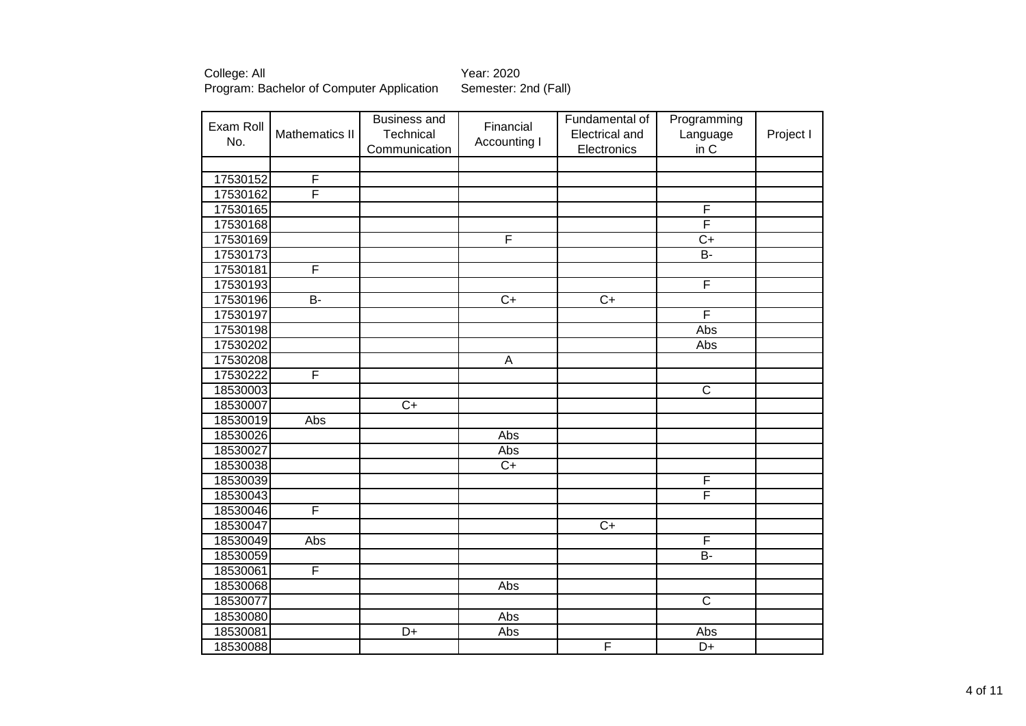| Exam Roll<br>No. | Mathematics II | <b>Business and</b><br>Technical<br>Communication | Financial<br>Accounting I | Fundamental of<br>Electrical and<br>Electronics | Programming<br>Language<br>in C | Project I |
|------------------|----------------|---------------------------------------------------|---------------------------|-------------------------------------------------|---------------------------------|-----------|
|                  |                |                                                   |                           |                                                 |                                 |           |
| 17530152         | F              |                                                   |                           |                                                 |                                 |           |
| 17530162         | F              |                                                   |                           |                                                 |                                 |           |
| 17530165         |                |                                                   |                           |                                                 | F                               |           |
| 17530168         |                |                                                   |                           |                                                 | F                               |           |
| 17530169         |                |                                                   | F                         |                                                 | $\overline{C+}$                 |           |
| 17530173         |                |                                                   |                           |                                                 | $B -$                           |           |
| 17530181         | F              |                                                   |                           |                                                 |                                 |           |
| 17530193         |                |                                                   |                           |                                                 | F                               |           |
| 17530196         | $\overline{B}$ |                                                   | $\overline{C+}$           | $\overline{C}$                                  |                                 |           |
| 17530197         |                |                                                   |                           |                                                 | F                               |           |
| 17530198         |                |                                                   |                           |                                                 | Abs                             |           |
| 17530202         |                |                                                   |                           |                                                 | Abs                             |           |
| 17530208         |                |                                                   | A                         |                                                 |                                 |           |
| 17530222         | F              |                                                   |                           |                                                 |                                 |           |
| 18530003         |                |                                                   |                           |                                                 | $\overline{\text{c}}$           |           |
| 18530007         |                | $\overline{C+}$                                   |                           |                                                 |                                 |           |
| 18530019         | Abs            |                                                   |                           |                                                 |                                 |           |
| 18530026         |                |                                                   | Abs                       |                                                 |                                 |           |
| 18530027         |                |                                                   | Abs                       |                                                 |                                 |           |
| 18530038         |                |                                                   | $\overline{C+}$           |                                                 |                                 |           |
| 18530039         |                |                                                   |                           |                                                 | F                               |           |
| 18530043         |                |                                                   |                           |                                                 | F                               |           |
| 18530046         | F              |                                                   |                           |                                                 |                                 |           |
| 18530047         |                |                                                   |                           | $\overline{C+}$                                 |                                 |           |
| 18530049         | Abs            |                                                   |                           |                                                 | F                               |           |
| 18530059         |                |                                                   |                           |                                                 | $B -$                           |           |
| 18530061         | F              |                                                   |                           |                                                 |                                 |           |
| 18530068         |                |                                                   | Abs                       |                                                 |                                 |           |
| 18530077         |                |                                                   |                           |                                                 | $\overline{C}$                  |           |
| 18530080         |                |                                                   | Abs                       |                                                 |                                 |           |
| 18530081         |                | D+                                                | Abs                       |                                                 | Abs                             |           |
| 18530088         |                |                                                   |                           | F                                               | D+                              |           |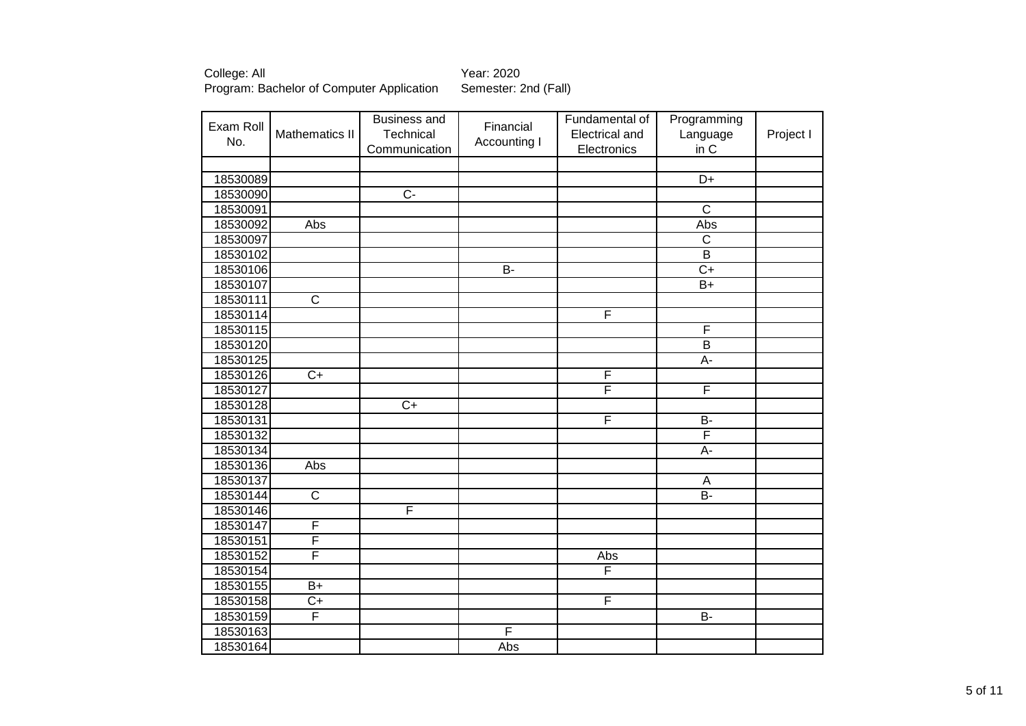| Exam Roll |                         | <b>Business and</b> | Financial      | Fundamental of          | Programming           |           |
|-----------|-------------------------|---------------------|----------------|-------------------------|-----------------------|-----------|
| No.       | Mathematics II          | Technical           | Accounting I   | Electrical and          | Language              | Project I |
|           |                         | Communication       |                | Electronics             | in C                  |           |
|           |                         |                     |                |                         |                       |           |
| 18530089  |                         |                     |                |                         | D+                    |           |
| 18530090  |                         | $\overline{C}$      |                |                         |                       |           |
| 18530091  |                         |                     |                |                         | $\overline{\text{c}}$ |           |
| 18530092  | <b>Abs</b>              |                     |                |                         | Abs                   |           |
| 18530097  |                         |                     |                |                         | $\overline{C}$        |           |
| 18530102  |                         |                     |                |                         | $\overline{B}$        |           |
| 18530106  |                         |                     | $\overline{B}$ |                         | $\overline{C+}$       |           |
| 18530107  |                         |                     |                |                         | $\overline{B+}$       |           |
| 18530111  | $\overline{\mathsf{C}}$ |                     |                |                         |                       |           |
| 18530114  |                         |                     |                | F                       |                       |           |
| 18530115  |                         |                     |                |                         | F                     |           |
| 18530120  |                         |                     |                |                         | $\overline{B}$        |           |
| 18530125  |                         |                     |                |                         | $A -$                 |           |
| 18530126  | $\overline{C+}$         |                     |                | F                       |                       |           |
| 18530127  |                         |                     |                | F                       | F                     |           |
| 18530128  |                         | $\overline{C+}$     |                |                         |                       |           |
| 18530131  |                         |                     |                | F                       | $\overline{B}$        |           |
| 18530132  |                         |                     |                |                         | F                     |           |
| 18530134  |                         |                     |                |                         | A-                    |           |
| 18530136  | Abs                     |                     |                |                         |                       |           |
| 18530137  |                         |                     |                |                         | A                     |           |
| 18530144  | $\overline{\text{C}}$   |                     |                |                         | $\overline{B}$        |           |
| 18530146  |                         | F                   |                |                         |                       |           |
| 18530147  | F                       |                     |                |                         |                       |           |
| 18530151  | $\overline{\mathsf{F}}$ |                     |                |                         |                       |           |
| 18530152  | F                       |                     |                | Abs                     |                       |           |
| 18530154  |                         |                     |                | $\overline{\mathsf{F}}$ |                       |           |
| 18530155  | $B+$                    |                     |                |                         |                       |           |
| 18530158  | $\overline{C+}$         |                     |                | F                       |                       |           |
| 18530159  | F                       |                     |                |                         | B-                    |           |
| 18530163  |                         |                     | F              |                         |                       |           |
| 18530164  |                         |                     | Abs            |                         |                       |           |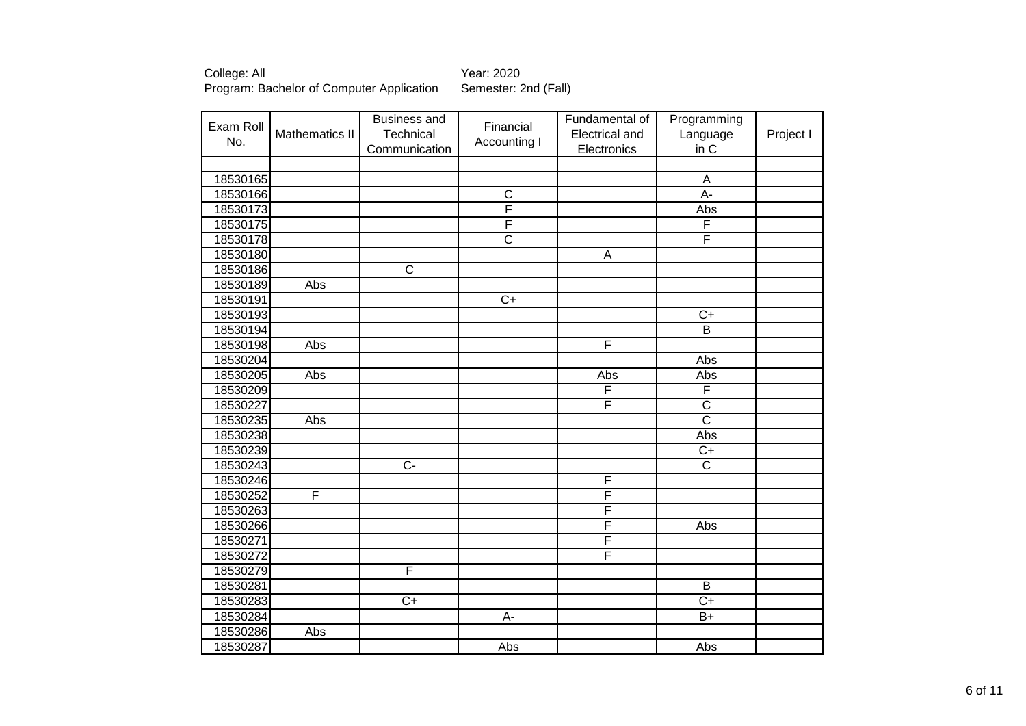| Exam Roll |                | <b>Business and</b>   | Financial             | Fundamental of | Programming           |           |
|-----------|----------------|-----------------------|-----------------------|----------------|-----------------------|-----------|
| No.       | Mathematics II | Technical             | Accounting I          | Electrical and | Language              | Project I |
|           |                | Communication         |                       | Electronics    | in C                  |           |
|           |                |                       |                       |                |                       |           |
| 18530165  |                |                       |                       |                | $\overline{A}$        |           |
| 18530166  |                |                       | $\overline{C}$<br>F   |                | A-                    |           |
| 18530173  |                |                       | F                     |                | Abs<br>F              |           |
| 18530175  |                |                       |                       |                |                       |           |
| 18530178  |                |                       | $\overline{\text{c}}$ |                | F                     |           |
| 18530180  |                |                       |                       | $\overline{A}$ |                       |           |
| 18530186  |                | $\overline{\text{c}}$ |                       |                |                       |           |
| 18530189  | <b>Abs</b>     |                       |                       |                |                       |           |
| 18530191  |                |                       | $\overline{C}$        |                |                       |           |
| 18530193  |                |                       |                       |                | $\overline{C+}$       |           |
| 18530194  |                |                       |                       |                | $\overline{B}$        |           |
| 18530198  | <b>Abs</b>     |                       |                       | F              |                       |           |
| 18530204  |                |                       |                       |                | Abs                   |           |
| 18530205  | Abs            |                       |                       | Abs            | Abs                   |           |
| 18530209  |                |                       |                       | F              | F                     |           |
| 18530227  |                |                       |                       | F              | $\overline{\text{c}}$ |           |
| 18530235  | <b>Abs</b>     |                       |                       |                | $\overline{\text{c}}$ |           |
| 18530238  |                |                       |                       |                | Abs                   |           |
| 18530239  |                |                       |                       |                | $C+$                  |           |
| 18530243  |                | $\overline{C}$        |                       |                | $\overline{\text{c}}$ |           |
| 18530246  |                |                       |                       | F              |                       |           |
| 18530252  | F              |                       |                       | F              |                       |           |
| 18530263  |                |                       |                       | F              |                       |           |
| 18530266  |                |                       |                       | F              | Abs                   |           |
| 18530271  |                |                       |                       | F              |                       |           |
| 18530272  |                |                       |                       | F              |                       |           |
| 18530279  |                | F                     |                       |                |                       |           |
| 18530281  |                |                       |                       |                | B                     |           |
| 18530283  |                | $C+$                  |                       |                | $C+$                  |           |
| 18530284  |                |                       | $\overline{A}$        |                | $B+$                  |           |
| 18530286  | Abs            |                       |                       |                |                       |           |
| 18530287  |                |                       | Abs                   |                | Abs                   |           |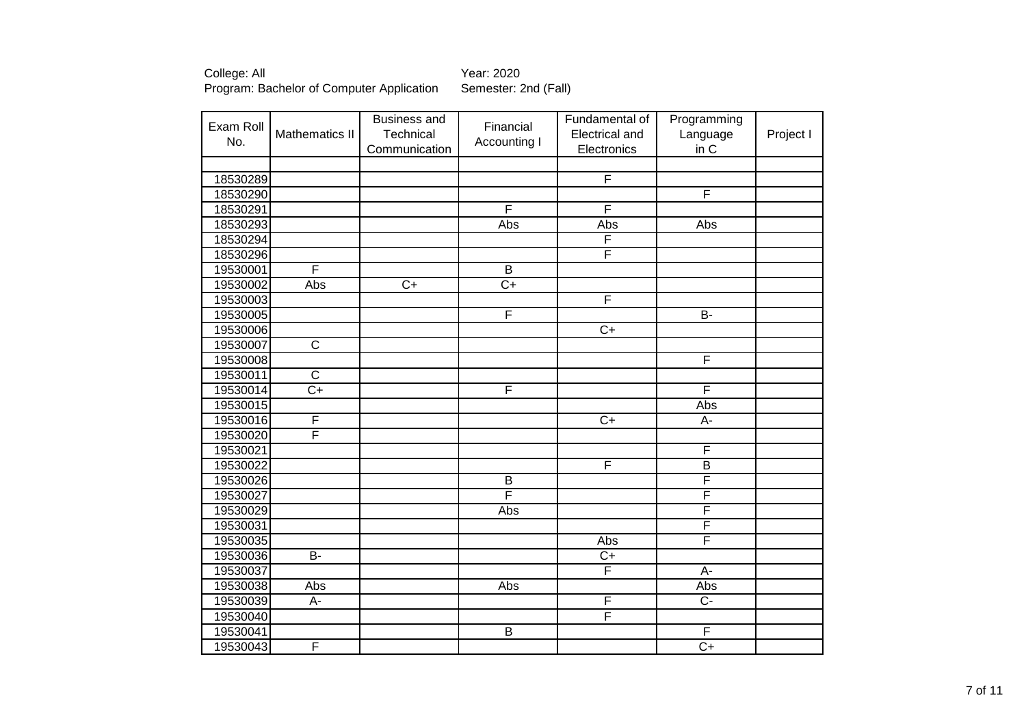| Exam Roll |                         | <b>Business and</b> | Financial       | Fundamental of          | Programming             |           |
|-----------|-------------------------|---------------------|-----------------|-------------------------|-------------------------|-----------|
| No.       | Mathematics II          | Technical           | Accounting I    | Electrical and          | Language                | Project I |
|           |                         | Communication       |                 | Electronics             | in C                    |           |
|           |                         |                     |                 |                         |                         |           |
| 18530289  |                         |                     |                 | F                       |                         |           |
| 18530290  |                         |                     |                 |                         | F                       |           |
| 18530291  |                         |                     | F               | F                       |                         |           |
| 18530293  |                         |                     | Abs             | Abs                     | Abs                     |           |
| 18530294  |                         |                     |                 | F                       |                         |           |
| 18530296  |                         |                     |                 | F                       |                         |           |
| 19530001  | F                       |                     | $\overline{B}$  |                         |                         |           |
| 19530002  | Abs                     | $\overline{C+}$     | $\overline{C+}$ |                         |                         |           |
| 19530003  |                         |                     |                 | F                       |                         |           |
| 19530005  |                         |                     | F               |                         | $B -$                   |           |
| 19530006  |                         |                     |                 | $\overline{C}$          |                         |           |
| 19530007  | $\overline{\mathsf{C}}$ |                     |                 |                         |                         |           |
| 19530008  |                         |                     |                 |                         | F                       |           |
| 19530011  | $\overline{\text{c}}$   |                     |                 |                         |                         |           |
| 19530014  | $\overline{C+}$         |                     | F               |                         | F                       |           |
| 19530015  |                         |                     |                 |                         | Abs                     |           |
| 19530016  | F                       |                     |                 | $\overline{C+}$         | $\overline{A}$ -        |           |
| 19530020  | F                       |                     |                 |                         |                         |           |
| 19530021  |                         |                     |                 |                         | F                       |           |
| 19530022  |                         |                     |                 | $\overline{\mathsf{F}}$ | $\overline{B}$          |           |
| 19530026  |                         |                     | $\overline{B}$  |                         | $\overline{\mathsf{F}}$ |           |
| 19530027  |                         |                     | F               |                         | $\overline{\mathsf{F}}$ |           |
| 19530029  |                         |                     | Abs             |                         | $\overline{\mathsf{F}}$ |           |
| 19530031  |                         |                     |                 |                         | F                       |           |
| 19530035  |                         |                     |                 | Abs                     | F                       |           |
| 19530036  | $\overline{B}$          |                     |                 | $C+$                    |                         |           |
| 19530037  |                         |                     |                 | F                       | A-                      |           |
| 19530038  | Abs                     |                     | Abs             |                         | Abs                     |           |
| 19530039  | A-                      |                     |                 | $\overline{F}$          | $\overline{C}$          |           |
| 19530040  |                         |                     |                 | $\overline{\mathsf{F}}$ |                         |           |
| 19530041  |                         |                     | $\overline{B}$  |                         | $\overline{F}$          |           |
| 19530043  | F                       |                     |                 |                         | $\overline{C+}$         |           |
|           |                         |                     |                 |                         |                         |           |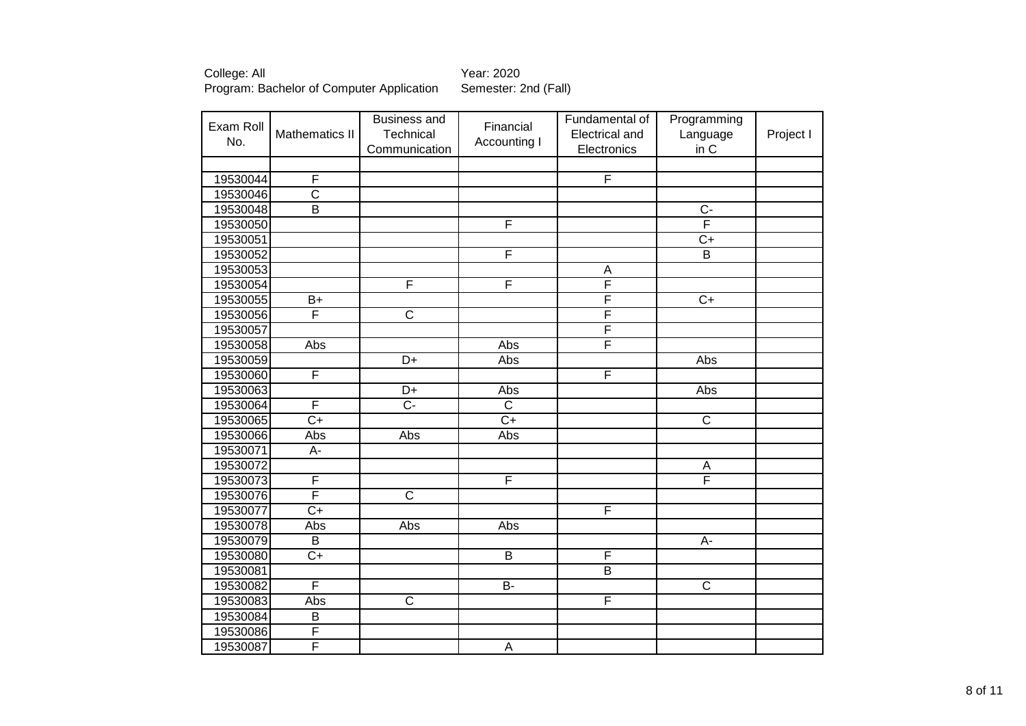| Exam Roll | Mathematics II          | <b>Business and</b><br>Technical | Financial             | Fundamental of<br>Electrical and | Programming<br>Language | Project I |
|-----------|-------------------------|----------------------------------|-----------------------|----------------------------------|-------------------------|-----------|
| No.       |                         | Communication                    | Accounting I          | Electronics                      | in C                    |           |
|           |                         |                                  |                       |                                  |                         |           |
| 19530044  | F                       |                                  |                       | $\overline{\mathsf{F}}$          |                         |           |
| 19530046  | $\overline{\text{C}}$   |                                  |                       |                                  |                         |           |
| 19530048  | $\overline{B}$          |                                  |                       |                                  | $\overline{C}$          |           |
| 19530050  |                         |                                  | F                     |                                  | F                       |           |
| 19530051  |                         |                                  |                       |                                  | $\overline{C}$          |           |
| 19530052  |                         |                                  | F                     |                                  | $\overline{B}$          |           |
| 19530053  |                         |                                  |                       | $\overline{A}$                   |                         |           |
| 19530054  |                         | F                                | F                     | $\overline{\mathsf{F}}$          |                         |           |
| 19530055  | $B+$                    |                                  |                       | F                                | $\overline{C+}$         |           |
| 19530056  | F                       | $\overline{\text{c}}$            |                       | F                                |                         |           |
| 19530057  |                         |                                  |                       | F                                |                         |           |
| 19530058  | Abs                     |                                  | Abs                   | F                                |                         |           |
| 19530059  |                         | $\overline{D+}$                  | Abs                   |                                  | Abs                     |           |
| 19530060  | F                       |                                  |                       | F                                |                         |           |
| 19530063  |                         | $\overline{D+}$                  | Abs                   |                                  | Abs                     |           |
| 19530064  | F                       | $\overline{C}$ -                 | $\overline{\text{c}}$ |                                  |                         |           |
| 19530065  | $\overline{C+}$         |                                  | $\overline{C}$        |                                  | $\overline{\mathsf{C}}$ |           |
| 19530066  | Abs                     | Abs                              | Abs                   |                                  |                         |           |
| 19530071  | A-                      |                                  |                       |                                  |                         |           |
| 19530072  |                         |                                  |                       |                                  | A                       |           |
| 19530073  | F                       |                                  | F                     |                                  | F                       |           |
| 19530076  | F                       | $\overline{\text{c}}$            |                       |                                  |                         |           |
| 19530077  | $\overline{C+}$         |                                  |                       | F                                |                         |           |
| 19530078  | Abs                     | Abs                              | Abs                   |                                  |                         |           |
| 19530079  | B                       |                                  |                       |                                  | A-                      |           |
| 19530080  | $\overline{C+}$         |                                  | $\overline{B}$        | $\overline{F}$                   |                         |           |
| 19530081  |                         |                                  |                       | $\overline{B}$                   |                         |           |
| 19530082  | $\overline{\mathsf{F}}$ |                                  | $B -$                 |                                  | $\overline{\text{c}}$   |           |
| 19530083  | Abs                     | $\overline{C}$                   |                       | F                                |                         |           |
| 19530084  | $\overline{B}$          |                                  |                       |                                  |                         |           |
| 19530086  | $\overline{\mathsf{F}}$ |                                  |                       |                                  |                         |           |
| 19530087  | F                       |                                  | $\mathsf A$           |                                  |                         |           |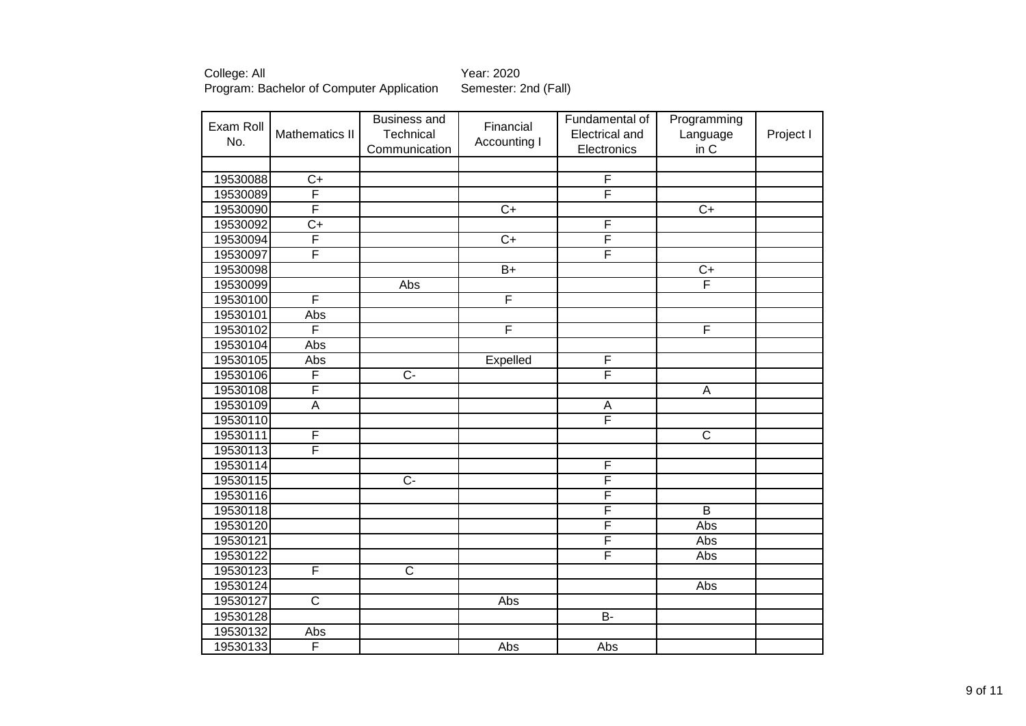| Exam Roll |                         | <b>Business and</b>   | Financial       | Fundamental of          | Programming           |           |
|-----------|-------------------------|-----------------------|-----------------|-------------------------|-----------------------|-----------|
| No.       | <b>Mathematics II</b>   | Technical             | Accounting I    | Electrical and          | Language              | Project I |
|           |                         | Communication         |                 | Electronics             | in C                  |           |
|           |                         |                       |                 |                         |                       |           |
| 19530088  | $C+$                    |                       |                 | $\overline{F}$          |                       |           |
| 19530089  | F                       |                       |                 | F                       |                       |           |
| 19530090  | F                       |                       | $\overline{C+}$ |                         | $\overline{C+}$       |           |
| 19530092  | $\overline{C+}$         |                       |                 | F                       |                       |           |
| 19530094  | F                       |                       | $\overline{C+}$ | F                       |                       |           |
| 19530097  | F                       |                       |                 | F                       |                       |           |
| 19530098  |                         |                       | $\overline{B+}$ |                         | $\overline{C}$        |           |
| 19530099  |                         | Abs                   |                 |                         | F                     |           |
| 19530100  | F                       |                       | F               |                         |                       |           |
| 19530101  | Abs                     |                       |                 |                         |                       |           |
| 19530102  | F                       |                       | F               |                         | F                     |           |
| 19530104  | Abs                     |                       |                 |                         |                       |           |
| 19530105  | Abs                     |                       | Expelled        | F                       |                       |           |
| 19530106  | F                       | $\overline{C}$        |                 | F                       |                       |           |
| 19530108  | F                       |                       |                 |                         | A                     |           |
| 19530109  | $\overline{A}$          |                       |                 | A                       |                       |           |
| 19530110  |                         |                       |                 | F                       |                       |           |
| 19530111  | F                       |                       |                 |                         | $\overline{\text{c}}$ |           |
| 19530113  | F                       |                       |                 |                         |                       |           |
| 19530114  |                         |                       |                 | $\overline{\mathsf{F}}$ |                       |           |
| 19530115  |                         | $\overline{C}$        |                 | F                       |                       |           |
| 19530116  |                         |                       |                 | $\overline{\mathsf{F}}$ |                       |           |
| 19530118  |                         |                       |                 | F                       | $\overline{B}$        |           |
| 19530120  |                         |                       |                 | F                       | Abs                   |           |
| 19530121  |                         |                       |                 | $\overline{\mathsf{F}}$ | Abs                   |           |
| 19530122  |                         |                       |                 | F                       | Abs                   |           |
| 19530123  | F                       | $\overline{\text{c}}$ |                 |                         |                       |           |
| 19530124  |                         |                       |                 |                         | Abs                   |           |
| 19530127  | $\overline{\text{c}}$   |                       | Abs             |                         |                       |           |
| 19530128  |                         |                       |                 | $B -$                   |                       |           |
| 19530132  | Abs                     |                       |                 |                         |                       |           |
| 19530133  | $\overline{\mathsf{F}}$ |                       | Abs             | Abs                     |                       |           |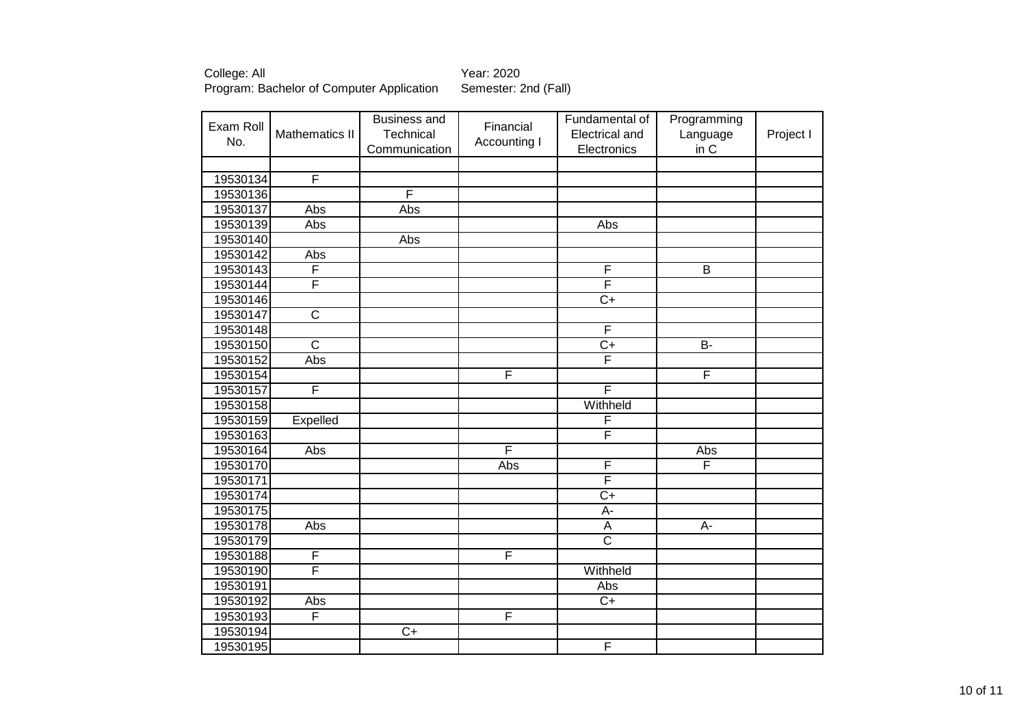| Exam Roll |                         | <b>Business and</b> | Financial               | Fundamental of            | Programming             |           |
|-----------|-------------------------|---------------------|-------------------------|---------------------------|-------------------------|-----------|
| No.       | Mathematics II          | Technical           | Accounting I            | Electrical and            | Language                | Project I |
|           |                         | Communication       |                         | Electronics               | in C                    |           |
|           |                         |                     |                         |                           |                         |           |
| 19530134  | F                       |                     |                         |                           |                         |           |
| 19530136  |                         | F                   |                         |                           |                         |           |
| 19530137  | Abs                     | Abs                 |                         |                           |                         |           |
| 19530139  | Abs                     |                     |                         | Abs                       |                         |           |
| 19530140  |                         | Abs                 |                         |                           |                         |           |
| 19530142  | Abs                     |                     |                         |                           |                         |           |
| 19530143  | F                       |                     |                         | F                         | $\overline{\mathsf{B}}$ |           |
| 19530144  | F                       |                     |                         | $\overline{\mathsf{F}}$   |                         |           |
| 19530146  |                         |                     |                         | $\overline{C}$            |                         |           |
| 19530147  | $\overline{\mathsf{C}}$ |                     |                         |                           |                         |           |
| 19530148  |                         |                     |                         | F                         |                         |           |
| 19530150  | $\overline{\text{c}}$   |                     |                         | $\overline{C}$            | B-                      |           |
| 19530152  | Abs                     |                     |                         | F                         |                         |           |
| 19530154  |                         |                     | $\overline{\mathsf{F}}$ |                           | F                       |           |
| 19530157  | F                       |                     |                         | F                         |                         |           |
| 19530158  |                         |                     |                         | Withheld                  |                         |           |
| 19530159  | Expelled                |                     |                         | F                         |                         |           |
| 19530163  |                         |                     |                         | F                         |                         |           |
| 19530164  | Abs                     |                     | F                       |                           | Abs                     |           |
| 19530170  |                         |                     | Abs                     | $\overline{\mathsf{F}}$   | F                       |           |
| 19530171  |                         |                     |                         | $\overline{\mathsf{F}}$   |                         |           |
| 19530174  |                         |                     |                         | $C+$                      |                         |           |
| 19530175  |                         |                     |                         | A-                        |                         |           |
| 19530178  | Abs                     |                     |                         | $\boldsymbol{\mathsf{A}}$ | $A-$                    |           |
| 19530179  |                         |                     |                         | $\overline{\mathsf{C}}$   |                         |           |
| 19530188  | F                       |                     | F                       |                           |                         |           |
| 19530190  | F                       |                     |                         | Withheld                  |                         |           |
| 19530191  |                         |                     |                         | Abs                       |                         |           |
| 19530192  | Abs                     |                     |                         | $C+$                      |                         |           |
| 19530193  | $\overline{\mathsf{F}}$ |                     | $\overline{F}$          |                           |                         |           |
| 19530194  |                         | $\overline{C+}$     |                         |                           |                         |           |
| 19530195  |                         |                     |                         | $\overline{F}$            |                         |           |